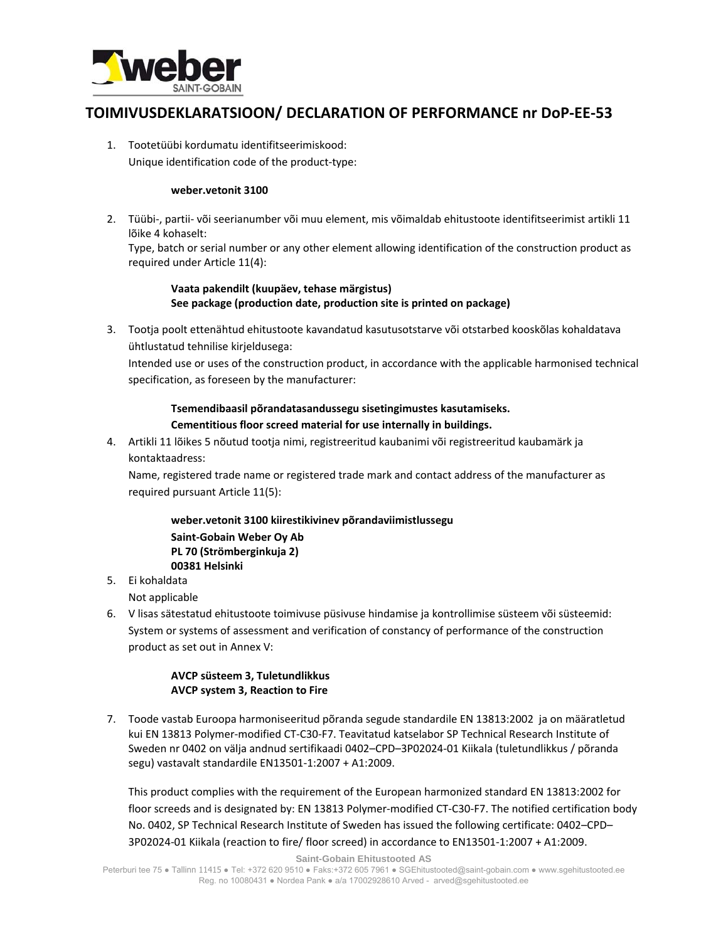

# **TOIMIVUSDEKLARATSIOON/ DECLARATION OF PERFORMANCE nr DoP‐EE‐53**

1. Tootetüübi kordumatu identifitseerimiskood: Unique identification code of the product‐type:

#### **weber.vetonit 3100**

2. Tüübi‐, partii‐ või seerianumber või muu element, mis võimaldab ehitustoote identifitseerimist artikli 11 lõike 4 kohaselt:

Type, batch or serial number or any other element allowing identification of the construction product as required under Article 11(4):

### **Vaata pakendilt (kuupäev, tehase märgistus) See package (production date, production site is printed on package)**

3. Tootja poolt ettenähtud ehitustoote kavandatud kasutusotstarve või otstarbed kooskõlas kohaldatava ühtlustatud tehnilise kirjeldusega:

Intended use or uses of the construction product, in accordance with the applicable harmonised technical specification, as foreseen by the manufacturer:

## **Tsemendibaasil põrandatasandussegu sisetingimustes kasutamiseks. Cementitious floor screed material for use internally in buildings.**

4. Artikli 11 lõikes 5 nõutud tootja nimi, registreeritud kaubanimi või registreeritud kaubamärk ja kontaktaadress:

Name, registered trade name or registered trade mark and contact address of the manufacturer as required pursuant Article 11(5):

### **weber.vetonit 3100 kiirestikivinev põrandaviimistlussegu Saint‐Gobain Weber Oy Ab PL 70 (Strömberginkuja 2) 00381 Helsinki**

5. Ei kohaldata

Not applicable

6. V lisas sätestatud ehitustoote toimivuse püsivuse hindamise ja kontrollimise süsteem või süsteemid: System or systems of assessment and verification of constancy of performance of the construction product as set out in Annex V:

### **AVCP süsteem 3, Tuletundlikkus AVCP system 3, Reaction to Fire**

7. Toode vastab Euroopa harmoniseeritud põranda segude standardile EN 13813:2002 ja on määratletud kui EN 13813 Polymer‐modified CT‐C30‐F7. Teavitatud katselabor SP Technical Research Institute of Sweden nr 0402 on välja andnud sertifikaadi 0402–CPD–3P02024‐01 Kiikala (tuletundlikkus / põranda segu) vastavalt standardile EN13501‐1:2007 + A1:2009.

This product complies with the requirement of the European harmonized standard EN 13813:2002 for floor screeds and is designated by: EN 13813 Polymer‐modified CT‐C30‐F7. The notified certification body No. 0402, SP Technical Research Institute of Sweden has issued the following certificate: 0402–CPD– 3P02024‐01 Kiikala (reaction to fire/ floor screed) in accordance to EN13501‐1:2007 + A1:2009.

**Saint-Gobain Ehitustooted AS**